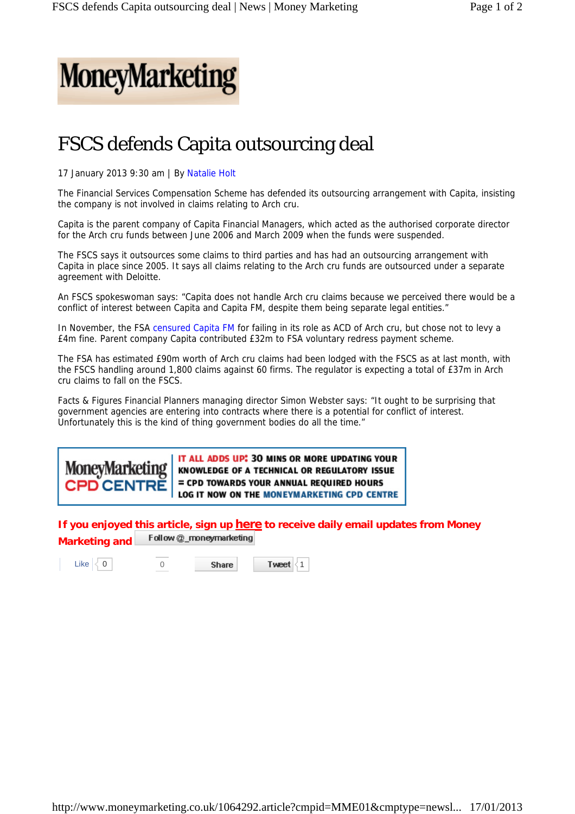

## FSCS defends Capita outsourcing deal

17 January 2013 9:30 am | By Natalie Holt

The Financial Services Compensation Scheme has defended its outsourcing arrangement with Capita, insisting the company is not involved in claims relating to Arch cru.

Capita is the parent company of Capita Financial Managers, which acted as the authorised corporate director for the Arch cru funds between June 2006 and March 2009 when the funds were suspended.

The FSCS says it outsources some claims to third parties and has had an outsourcing arrangement with Capita in place since 2005. It says all claims relating to the Arch cru funds are outsourced under a separate agreement with Deloitte.

An FSCS spokeswoman says: "Capita does not handle Arch cru claims because we perceived there would be a conflict of interest between Capita and Capita FM, despite them being separate legal entities."

In November, the FSA censured Capita FM for failing in its role as ACD of Arch cru, but chose not to levy a £4m fine. Parent company Capita contributed £32m to FSA voluntary redress payment scheme.

The FSA has estimated £90m worth of Arch cru claims had been lodged with the FSCS as at last month, with the FSCS handling around 1,800 claims against 60 firms. The regulator is expecting a total of £37m in Arch cru claims to fall on the FSCS.

Facts & Figures Financial Planners managing director Simon Webster says: "It ought to be surprising that government agencies are entering into contracts where there is a potential for conflict of interest. Unfortunately this is the kind of thing government bodies do all the time."

IT ALL ADDS UP: 30 MINS OR MORE UPDATING YOUR **MoneyMarketing** KNOWLEDGE OF A TECHNICAL OR REGULATORY ISSUE = CPD TOWARDS YOUR ANNUAL REQUIRED HOURS **CPD CENTRE** LOG IT NOW ON THE MONEYMARKETING CPD CENTRE

**If you enjoyed this article, sign up here to receive daily email updates from Money**  Follow @\_moneymarketing **Marketing and** 

Like 0 0

**Share** 

Tweet 1